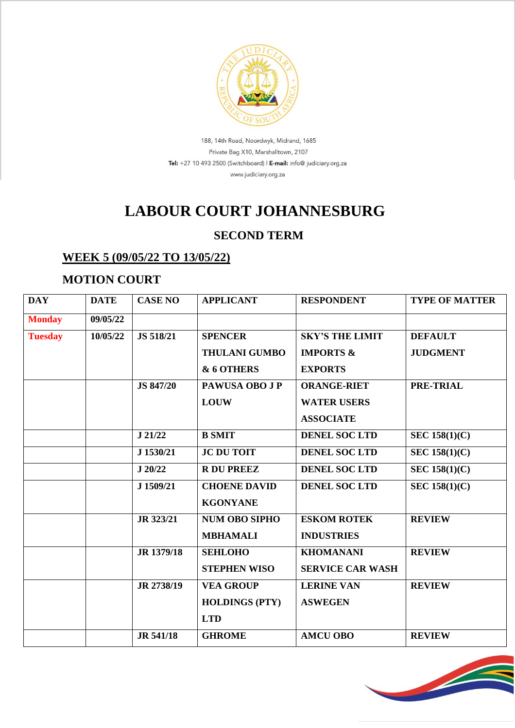

188, 14th Road, Noordwyk, Midrand, 1685 Private Bag X10, Marshalltown, 2107 Tel: +27 10 493 2500 (Switchboard) | E-mail: info@ judiciary.org.za www.judiciary.org.za

# **LABOUR COURT JOHANNESBURG**

### **SECOND TERM**

#### **WEEK 5 (09/05/22 TO 13/05/22)**

#### **MOTION COURT**

| <b>DAY</b>     | <b>DATE</b> | <b>CASE NO</b>   | <b>APPLICANT</b>      | <b>RESPONDENT</b>       | <b>TYPE OF MATTER</b> |
|----------------|-------------|------------------|-----------------------|-------------------------|-----------------------|
| <b>Monday</b>  | 09/05/22    |                  |                       |                         |                       |
| <b>Tuesday</b> | 10/05/22    | JS 518/21        | <b>SPENCER</b>        | <b>SKY'S THE LIMIT</b>  | <b>DEFAULT</b>        |
|                |             |                  | <b>THULANI GUMBO</b>  | <b>IMPORTS &amp;</b>    | <b>JUDGMENT</b>       |
|                |             |                  | & 6 OTHERS            | <b>EXPORTS</b>          |                       |
|                |             | <b>JS 847/20</b> | PAWUSA OBO J P        | <b>ORANGE-RIET</b>      | <b>PRE-TRIAL</b>      |
|                |             |                  | <b>LOUW</b>           | <b>WATER USERS</b>      |                       |
|                |             |                  |                       | <b>ASSOCIATE</b>        |                       |
|                |             | J 21/22          | <b>B SMIT</b>         | <b>DENEL SOC LTD</b>    | <b>SEC 158(1)(C)</b>  |
|                |             | J 1530/21        | <b>JC DU TOIT</b>     | <b>DENEL SOC LTD</b>    | <b>SEC 158(1)(C)</b>  |
|                |             | J 20/22          | <b>R DU PREEZ</b>     | <b>DENEL SOC LTD</b>    | <b>SEC 158(1)(C)</b>  |
|                |             | J 1509/21        | <b>CHOENE DAVID</b>   | <b>DENEL SOC LTD</b>    | <b>SEC 158(1)(C)</b>  |
|                |             |                  | <b>KGONYANE</b>       |                         |                       |
|                |             | JR 323/21        | <b>NUM OBO SIPHO</b>  | <b>ESKOM ROTEK</b>      | <b>REVIEW</b>         |
|                |             |                  | <b>MBHAMALI</b>       | <b>INDUSTRIES</b>       |                       |
|                |             | JR 1379/18       | <b>SEHLOHO</b>        | <b>KHOMANANI</b>        | <b>REVIEW</b>         |
|                |             |                  | <b>STEPHEN WISO</b>   | <b>SERVICE CAR WASH</b> |                       |
|                |             | JR 2738/19       | <b>VEA GROUP</b>      | <b>LERINE VAN</b>       | <b>REVIEW</b>         |
|                |             |                  | <b>HOLDINGS (PTY)</b> | <b>ASWEGEN</b>          |                       |
|                |             |                  | <b>LTD</b>            |                         |                       |
|                |             | JR 541/18        | <b>GHROME</b>         | <b>AMCU OBO</b>         | <b>REVIEW</b>         |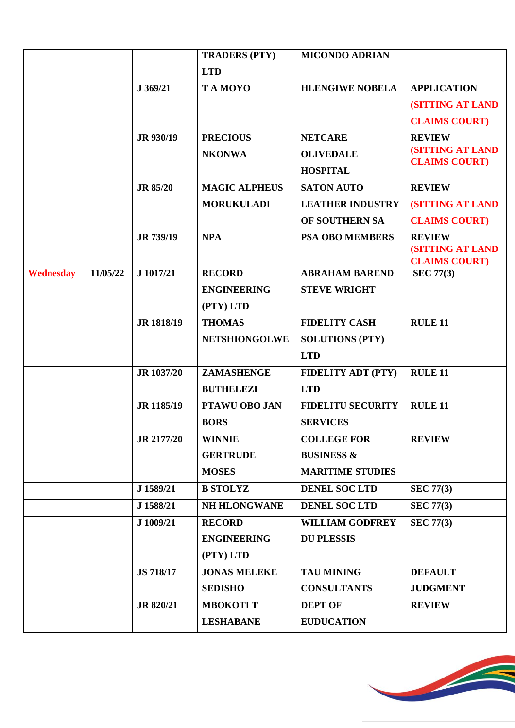|                  |          |                 | <b>TRADERS (PTY)</b> | <b>MICONDO ADRIAN</b>     |                                                 |
|------------------|----------|-----------------|----------------------|---------------------------|-------------------------------------------------|
|                  |          |                 | <b>LTD</b>           |                           |                                                 |
|                  |          | J 369/21        | <b>TAMOYO</b>        | <b>HLENGIWE NOBELA</b>    | <b>APPLICATION</b>                              |
|                  |          |                 |                      |                           | <b>(SITTING AT LAND</b>                         |
|                  |          |                 |                      |                           | <b>CLAIMS COURT)</b>                            |
|                  |          | JR 930/19       | <b>PRECIOUS</b>      | <b>NETCARE</b>            | <b>REVIEW</b>                                   |
|                  |          |                 | <b>NKONWA</b>        | <b>OLIVEDALE</b>          | <b>(SITTING AT LAND</b><br><b>CLAIMS COURT)</b> |
|                  |          |                 |                      | <b>HOSPITAL</b>           |                                                 |
|                  |          | <b>JR 85/20</b> | <b>MAGIC ALPHEUS</b> | <b>SATON AUTO</b>         | <b>REVIEW</b>                                   |
|                  |          |                 | <b>MORUKULADI</b>    | <b>LEATHER INDUSTRY</b>   | <b>(SITTING AT LAND</b>                         |
|                  |          |                 |                      | OF SOUTHERN SA            | <b>CLAIMS COURT)</b>                            |
|                  |          | JR 739/19       | <b>NPA</b>           | <b>PSA OBO MEMBERS</b>    | <b>REVIEW</b>                                   |
|                  |          |                 |                      |                           | <b>(SITTING AT LAND</b>                         |
| <b>Wednesday</b> | 11/05/22 | J 1017/21       | <b>RECORD</b>        | <b>ABRAHAM BAREND</b>     | <b>CLAIMS COURT)</b><br><b>SEC 77(3)</b>        |
|                  |          |                 | <b>ENGINEERING</b>   | <b>STEVE WRIGHT</b>       |                                                 |
|                  |          |                 | (PTY) LTD            |                           |                                                 |
|                  |          |                 |                      |                           |                                                 |
|                  |          | JR 1818/19      | <b>THOMAS</b>        | <b>FIDELITY CASH</b>      | <b>RULE 11</b>                                  |
|                  |          |                 | <b>NETSHIONGOLWE</b> | <b>SOLUTIONS (PTY)</b>    |                                                 |
|                  |          |                 |                      | <b>LTD</b>                |                                                 |
|                  |          | JR 1037/20      | <b>ZAMASHENGE</b>    | <b>FIDELITY ADT (PTY)</b> | <b>RULE 11</b>                                  |
|                  |          |                 | <b>BUTHELEZI</b>     | <b>LTD</b>                |                                                 |
|                  |          | JR 1185/19      | PTAWU OBO JAN        | <b>FIDELITU SECURITY</b>  | <b>RULE 11</b>                                  |
|                  |          |                 | <b>BORS</b>          | <b>SERVICES</b>           |                                                 |
|                  |          | JR 2177/20      | <b>WINNIE</b>        | <b>COLLEGE FOR</b>        | <b>REVIEW</b>                                   |
|                  |          |                 | <b>GERTRUDE</b>      | <b>BUSINESS &amp;</b>     |                                                 |
|                  |          |                 | <b>MOSES</b>         | <b>MARITIME STUDIES</b>   |                                                 |
|                  |          | J 1589/21       | <b>B STOLYZ</b>      | <b>DENEL SOC LTD</b>      | <b>SEC 77(3)</b>                                |
|                  |          | J 1588/21       | <b>NH HLONGWANE</b>  | DENEL SOC LTD             | <b>SEC 77(3)</b>                                |
|                  |          | J 1009/21       | <b>RECORD</b>        | <b>WILLIAM GODFREY</b>    | SEC $77(3)$                                     |
|                  |          |                 | <b>ENGINEERING</b>   | <b>DU PLESSIS</b>         |                                                 |
|                  |          |                 | (PTY) LTD            |                           |                                                 |
|                  |          | JS 718/17       | <b>JONAS MELEKE</b>  | <b>TAU MINING</b>         | <b>DEFAULT</b>                                  |
|                  |          |                 | <b>SEDISHO</b>       | <b>CONSULTANTS</b>        | <b>JUDGMENT</b>                                 |
|                  |          | JR 820/21       | <b>MBOKOTI T</b>     | <b>DEPT OF</b>            | <b>REVIEW</b>                                   |
|                  |          |                 | <b>LESHABANE</b>     | <b>EUDUCATION</b>         |                                                 |
|                  |          |                 |                      |                           |                                                 |

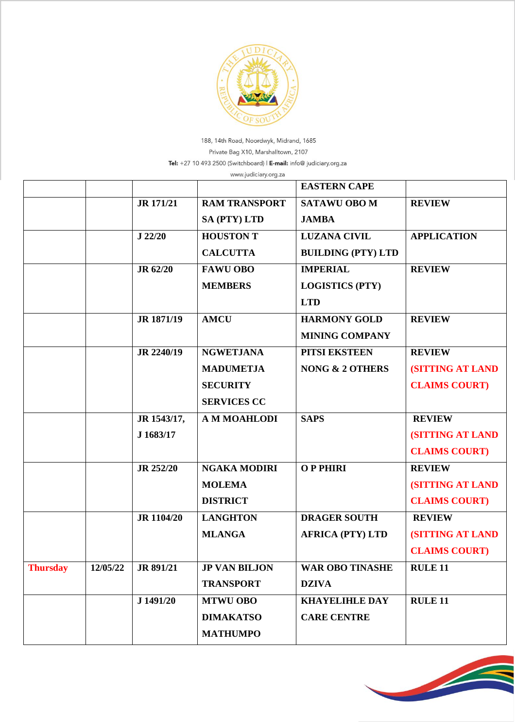

188, 14th Road, Noordwyk, Midrand, 1685 Private Bag X10, Marshalltown, 2107 Tel: +27 10 493 2500 (Switchboard) | E-mail: info@ judiciary.org.za

|          |                  | www.judiciary.org.za |                            |                         |
|----------|------------------|----------------------|----------------------------|-------------------------|
|          |                  |                      | <b>EASTERN CAPE</b>        |                         |
|          | <b>JR</b> 171/21 | <b>RAM TRANSPORT</b> | <b>SATAWU OBO M</b>        | <b>REVIEW</b>           |
|          |                  | <b>SA (PTY) LTD</b>  | <b>JAMBA</b>               |                         |
|          | J 22/20          | <b>HOUSTON T</b>     | <b>LUZANA CIVIL</b>        | <b>APPLICATION</b>      |
|          |                  | <b>CALCUTTA</b>      | <b>BUILDING (PTY) LTD</b>  |                         |
|          | <b>JR 62/20</b>  | <b>FAWU OBO</b>      | <b>IMPERIAL</b>            | <b>REVIEW</b>           |
|          |                  | <b>MEMBERS</b>       | <b>LOGISTICS (PTY)</b>     |                         |
|          |                  |                      | <b>LTD</b>                 |                         |
|          | JR 1871/19       | <b>AMCU</b>          | <b>HARMONY GOLD</b>        | <b>REVIEW</b>           |
|          |                  |                      | <b>MINING COMPANY</b>      |                         |
|          | JR 2240/19       | <b>NGWETJANA</b>     | PITSI EKSTEEN              | <b>REVIEW</b>           |
|          |                  | <b>MADUMETJA</b>     | <b>NONG &amp; 2 OTHERS</b> | <b>(SITTING AT LAND</b> |
|          |                  | <b>SECURITY</b>      |                            | <b>CLAIMS COURT)</b>    |
|          |                  | <b>SERVICES CC</b>   |                            |                         |
|          | JR 1543/17,      | <b>A M MOAHLODI</b>  | <b>SAPS</b>                | <b>REVIEW</b>           |
|          | J 1683/17        |                      |                            | <b>(SITTING AT LAND</b> |
|          |                  |                      |                            | <b>CLAIMS COURT)</b>    |
|          | JR 252/20        | <b>NGAKA MODIRI</b>  | <b>OPPHIRI</b>             | <b>REVIEW</b>           |
|          |                  | <b>MOLEMA</b>        |                            | <b>(SITTING AT LAND</b> |
|          |                  | <b>DISTRICT</b>      |                            | <b>CLAIMS COURT)</b>    |
|          | JR 1104/20       | <b>LANGHTON</b>      | <b>DRAGER SOUTH</b>        | <b>REVIEW</b>           |
|          |                  | <b>MLANGA</b>        | <b>AFRICA (PTY) LTD</b>    | <b>(SITTING AT LAND</b> |
|          |                  |                      |                            | <b>CLAIMS COURT)</b>    |
| 12/05/22 | JR 891/21        | <b>JP VAN BILJON</b> | <b>WAR OBO TINASHE</b>     | <b>RULE 11</b>          |
|          |                  | <b>TRANSPORT</b>     | <b>DZIVA</b>               |                         |
|          | J 1491/20        | <b>MTWU OBO</b>      | <b>KHAYELIHLE DAY</b>      | <b>RULE 11</b>          |
|          |                  | <b>DIMAKATSO</b>     | <b>CARE CENTRE</b>         |                         |
|          |                  | <b>MATHUMPO</b>      |                            |                         |
|          |                  |                      |                            |                         |

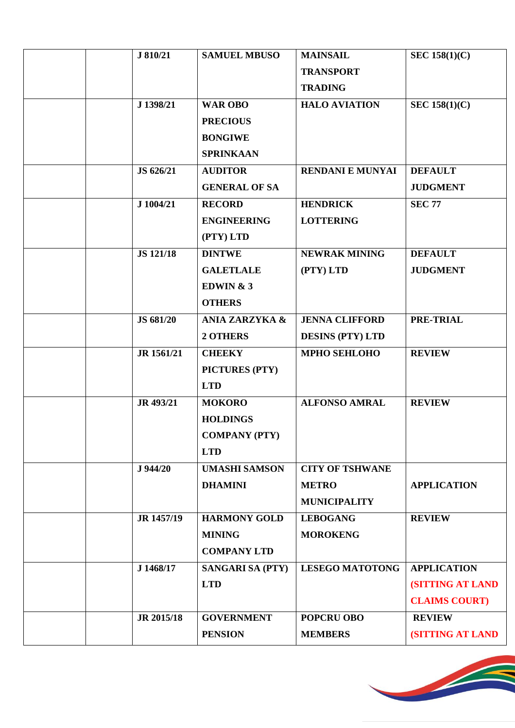| J 810/21         | <b>SAMUEL MBUSO</b>     | <b>MAINSAIL</b>         | <b>SEC 158(1)(C)</b>    |
|------------------|-------------------------|-------------------------|-------------------------|
|                  |                         | <b>TRANSPORT</b>        |                         |
|                  |                         | <b>TRADING</b>          |                         |
| J 1398/21        | <b>WAR OBO</b>          | <b>HALO AVIATION</b>    | <b>SEC 158(1)(C)</b>    |
|                  | <b>PRECIOUS</b>         |                         |                         |
|                  | <b>BONGIWE</b>          |                         |                         |
|                  | <b>SPRINKAAN</b>        |                         |                         |
| JS 626/21        | <b>AUDITOR</b>          | <b>RENDANI E MUNYAI</b> | <b>DEFAULT</b>          |
|                  | <b>GENERAL OF SA</b>    |                         | <b>JUDGMENT</b>         |
| J 1004/21        | <b>RECORD</b>           | <b>HENDRICK</b>         | <b>SEC 77</b>           |
|                  | <b>ENGINEERING</b>      | <b>LOTTERING</b>        |                         |
|                  | (PTY) LTD               |                         |                         |
| <b>JS 121/18</b> | <b>DINTWE</b>           | <b>NEWRAK MINING</b>    | <b>DEFAULT</b>          |
|                  | <b>GALETLALE</b>        | (PTY) LTD               | <b>JUDGMENT</b>         |
|                  | EDWIN $&3$              |                         |                         |
|                  | <b>OTHERS</b>           |                         |                         |
| <b>JS 681/20</b> | ANIA ZARZYKA &          | <b>JENNA CLIFFORD</b>   | PRE-TRIAL               |
|                  | 2 OTHERS                | <b>DESINS (PTY) LTD</b> |                         |
| JR 1561/21       | <b>CHEEKY</b>           | <b>MPHO SEHLOHO</b>     | <b>REVIEW</b>           |
|                  | PICTURES (PTY)          |                         |                         |
|                  | <b>LTD</b>              |                         |                         |
| JR 493/21        | <b>MOKORO</b>           | <b>ALFONSO AMRAL</b>    | <b>REVIEW</b>           |
|                  | <b>HOLDINGS</b>         |                         |                         |
|                  | <b>COMPANY (PTY)</b>    |                         |                         |
|                  | <b>LTD</b>              |                         |                         |
| J 944/20         | <b>UMASHI SAMSON</b>    | <b>CITY OF TSHWANE</b>  |                         |
|                  | <b>DHAMINI</b>          | <b>METRO</b>            | <b>APPLICATION</b>      |
|                  |                         | <b>MUNICIPALITY</b>     |                         |
| JR 1457/19       | <b>HARMONY GOLD</b>     | <b>LEBOGANG</b>         | <b>REVIEW</b>           |
|                  | <b>MINING</b>           | <b>MOROKENG</b>         |                         |
|                  | <b>COMPANY LTD</b>      |                         |                         |
| J 1468/17        | <b>SANGARI SA (PTY)</b> | <b>LESEGO MATOTONG</b>  | <b>APPLICATION</b>      |
|                  | <b>LTD</b>              |                         | <b>(SITTING AT LAND</b> |
|                  |                         |                         | <b>CLAIMS COURT)</b>    |
| JR 2015/18       | <b>GOVERNMENT</b>       | <b>POPCRU OBO</b>       | <b>REVIEW</b>           |
|                  | <b>PENSION</b>          | <b>MEMBERS</b>          | <b>(SITTING AT LAND</b> |

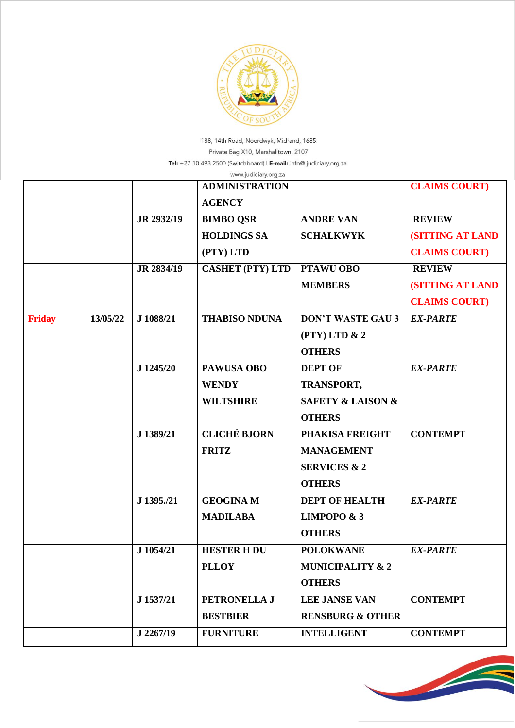

188, 14th Road, Noordwyk, Midrand, 1685 Private Bag X10, Marshalltown, 2107

Tel: +27 10 493 2500 (Switchboard) | E-mail: info@ judiciary.org.za

|               |          |            | www.judiciary.org.za    |                                  |                         |
|---------------|----------|------------|-------------------------|----------------------------------|-------------------------|
|               |          |            | <b>ADMINISTRATION</b>   |                                  | <b>CLAIMS COURT)</b>    |
|               |          |            | <b>AGENCY</b>           |                                  |                         |
|               |          | JR 2932/19 | <b>BIMBO QSR</b>        | <b>ANDRE VAN</b>                 | <b>REVIEW</b>           |
|               |          |            | <b>HOLDINGS SA</b>      | <b>SCHALKWYK</b>                 | <b>(SITTING AT LAND</b> |
|               |          |            | (PTY) LTD               |                                  | <b>CLAIMS COURT)</b>    |
|               |          | JR 2834/19 | <b>CASHET (PTY) LTD</b> | <b>PTAWU OBO</b>                 | <b>REVIEW</b>           |
|               |          |            |                         | <b>MEMBERS</b>                   | <b>(SITTING AT LAND</b> |
|               |          |            |                         |                                  | <b>CLAIMS COURT)</b>    |
| <b>Friday</b> | 13/05/22 | J 1088/21  | <b>THABISO NDUNA</b>    | <b>DON'T WASTE GAU 3</b>         | <b>EX-PARTE</b>         |
|               |          |            |                         | (PTY) LTD & 2                    |                         |
|               |          |            |                         | <b>OTHERS</b>                    |                         |
|               |          | J 1245/20  | PAWUSA OBO              | <b>DEPT OF</b>                   | <b>EX-PARTE</b>         |
|               |          |            | <b>WENDY</b>            | TRANSPORT,                       |                         |
|               |          |            | <b>WILTSHIRE</b>        | <b>SAFETY &amp; LAISON &amp;</b> |                         |
|               |          |            |                         | <b>OTHERS</b>                    |                         |
|               |          | J 1389/21  | <b>CLICHÉ BJORN</b>     | PHAKISA FREIGHT                  | <b>CONTEMPT</b>         |
|               |          |            | <b>FRITZ</b>            | <b>MANAGEMENT</b>                |                         |
|               |          |            |                         | <b>SERVICES &amp; 2</b>          |                         |
|               |          |            |                         | <b>OTHERS</b>                    |                         |
|               |          | J 1395./21 | <b>GEOGINA M</b>        | <b>DEPT OF HEALTH</b>            | <b>EX-PARTE</b>         |
|               |          |            | <b>MADILABA</b>         | <b>LIMPOPO &amp; 3</b>           |                         |
|               |          |            |                         | <b>OTHERS</b>                    |                         |
|               |          | J 1054/21  | <b>HESTER H DU</b>      | <b>POLOKWANE</b>                 | <b>EX-PARTE</b>         |
|               |          |            | <b>PLLOY</b>            | <b>MUNICIPALITY &amp; 2</b>      |                         |
|               |          |            |                         | <b>OTHERS</b>                    |                         |
|               |          | J 1537/21  | PETRONELLA J            | <b>LEE JANSE VAN</b>             | <b>CONTEMPT</b>         |
|               |          |            | <b>BESTBIER</b>         | <b>RENSBURG &amp; OTHER</b>      |                         |
|               |          | J 2267/19  | <b>FURNITURE</b>        | <b>INTELLIGENT</b>               | <b>CONTEMPT</b>         |

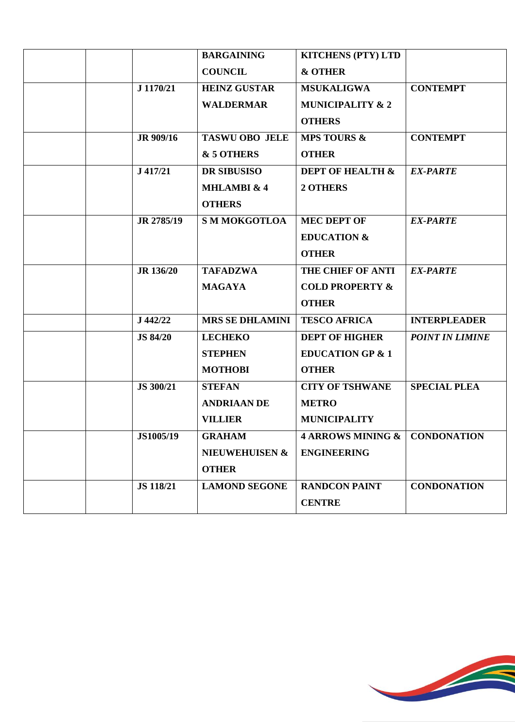|  |                  | <b>BARGAINING</b>      | <b>KITCHENS (PTY) LTD</b>                |                        |
|--|------------------|------------------------|------------------------------------------|------------------------|
|  |                  | <b>COUNCIL</b>         | <b>&amp; OTHER</b>                       |                        |
|  | J 1170/21        | <b>HEINZ GUSTAR</b>    | <b>MSUKALIGWA</b>                        | <b>CONTEMPT</b>        |
|  |                  | <b>WALDERMAR</b>       | <b>MUNICIPALITY &amp; 2</b>              |                        |
|  |                  |                        | <b>OTHERS</b>                            |                        |
|  | JR 909/16        | <b>TASWU OBO JELE</b>  | <b>MPS TOURS &amp;</b>                   | <b>CONTEMPT</b>        |
|  |                  | & 5 OTHERS             | <b>OTHER</b>                             |                        |
|  | $J$ 417/21       | <b>DR SIBUSISO</b>     | <b>DEPT OF HEALTH &amp;</b>              | <b>EX-PARTE</b>        |
|  |                  | <b>MHLAMBI &amp; 4</b> | 2 OTHERS                                 |                        |
|  |                  | <b>OTHERS</b>          |                                          |                        |
|  | JR 2785/19       | <b>S M MOKGOTLOA</b>   | <b>MEC DEPT OF</b>                       | <b>EX-PARTE</b>        |
|  |                  |                        | <b>EDUCATION &amp;</b>                   |                        |
|  |                  |                        | <b>OTHER</b>                             |                        |
|  | <b>JR</b> 136/20 | <b>TAFADZWA</b>        | THE CHIEF OF ANTI                        | <b>EX-PARTE</b>        |
|  |                  | <b>MAGAYA</b>          | <b>COLD PROPERTY &amp;</b>               |                        |
|  |                  |                        | <b>OTHER</b>                             |                        |
|  | J 442/22         | <b>MRS SE DHLAMINI</b> | <b>TESCO AFRICA</b>                      | <b>INTERPLEADER</b>    |
|  | <b>JS 84/20</b>  | <b>LECHEKO</b>         | <b>DEPT OF HIGHER</b>                    | <b>POINT IN LIMINE</b> |
|  |                  | <b>STEPHEN</b>         | <b>EDUCATION GP &amp; 1</b>              |                        |
|  |                  | <b>MOTHOBI</b>         | <b>OTHER</b>                             |                        |
|  | JS 300/21        | <b>STEFAN</b>          | <b>CITY OF TSHWANE</b>                   | <b>SPECIAL PLEA</b>    |
|  |                  | <b>ANDRIAAN DE</b>     | <b>METRO</b>                             |                        |
|  |                  | <b>VILLIER</b>         | <b>MUNICIPALITY</b>                      |                        |
|  | JS1005/19        | <b>GRAHAM</b>          | <b>4 ARROWS MINING &amp; CONDONATION</b> |                        |
|  |                  | NIEUWEHUISEN &         | <b>ENGINEERING</b>                       |                        |
|  |                  | <b>OTHER</b>           |                                          |                        |
|  | <b>JS 118/21</b> | <b>LAMOND SEGONE</b>   | <b>RANDCON PAINT</b>                     | <b>CONDONATION</b>     |
|  |                  |                        | <b>CENTRE</b>                            |                        |
|  |                  |                        |                                          |                        |

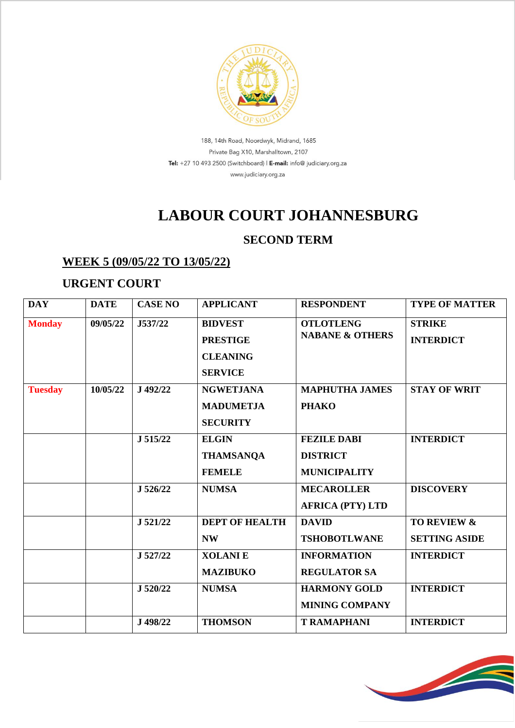

188, 14th Road, Noordwyk, Midrand, 1685 Private Bag X10, Marshalltown, 2107 Tel: +27 10 493 2500 (Switchboard) | E-mail: info@ judiciary.org.za www.judiciary.org.za

## **LABOUR COURT JOHANNESBURG**

### **SECOND TERM**

#### **WEEK 5 (09/05/22 TO 13/05/22)**

#### **URGENT COURT**

| <b>DAY</b>     | <b>DATE</b> | <b>CASE NO</b> | <b>APPLICANT</b>      | <b>RESPONDENT</b>          | <b>TYPE OF MATTER</b>  |
|----------------|-------------|----------------|-----------------------|----------------------------|------------------------|
|                |             |                |                       |                            |                        |
| <b>Monday</b>  | 09/05/22    | J537/22        | <b>BIDVEST</b>        | <b>OTLOTLENG</b>           | <b>STRIKE</b>          |
|                |             |                | <b>PRESTIGE</b>       | <b>NABANE &amp; OTHERS</b> | <b>INTERDICT</b>       |
|                |             |                | <b>CLEANING</b>       |                            |                        |
|                |             |                | <b>SERVICE</b>        |                            |                        |
| <b>Tuesday</b> | 10/05/22    | J 492/22       | <b>NGWETJANA</b>      | <b>MAPHUTHA JAMES</b>      | <b>STAY OF WRIT</b>    |
|                |             |                | <b>MADUMETJA</b>      | <b>PHAKO</b>               |                        |
|                |             |                | <b>SECURITY</b>       |                            |                        |
|                |             | J 515/22       | <b>ELGIN</b>          | <b>FEZILE DABI</b>         | <b>INTERDICT</b>       |
|                |             |                | <b>THAMSANQA</b>      | <b>DISTRICT</b>            |                        |
|                |             |                | <b>FEMELE</b>         | <b>MUNICIPALITY</b>        |                        |
|                |             | J 526/22       | <b>NUMSA</b>          | <b>MECAROLLER</b>          | <b>DISCOVERY</b>       |
|                |             |                |                       | <b>AFRICA (PTY) LTD</b>    |                        |
|                |             | J 521/22       | <b>DEPT OF HEALTH</b> | <b>DAVID</b>               | <b>TO REVIEW &amp;</b> |
|                |             |                | <b>NW</b>             | <b>TSHOBOTLWANE</b>        | <b>SETTING ASIDE</b>   |
|                |             | J 527/22       | <b>XOLANIE</b>        | <b>INFORMATION</b>         | <b>INTERDICT</b>       |
|                |             |                | <b>MAZIBUKO</b>       | <b>REGULATOR SA</b>        |                        |
|                |             | J 520/22       | <b>NUMSA</b>          | <b>HARMONY GOLD</b>        | <b>INTERDICT</b>       |
|                |             |                |                       | <b>MINING COMPANY</b>      |                        |
|                |             | J 498/22       | <b>THOMSON</b>        | <b>T RAMAPHANI</b>         | <b>INTERDICT</b>       |

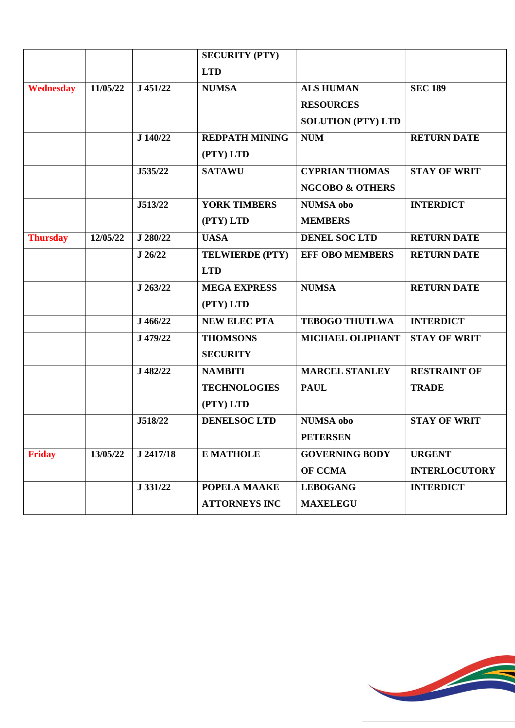|                 |          |           | <b>SECURITY (PTY)</b> |                            |                      |
|-----------------|----------|-----------|-----------------------|----------------------------|----------------------|
|                 |          |           | <b>LTD</b>            |                            |                      |
| Wednesday       | 11/05/22 | J 451/22  | <b>NUMSA</b>          | <b>ALS HUMAN</b>           | <b>SEC 189</b>       |
|                 |          |           |                       | <b>RESOURCES</b>           |                      |
|                 |          |           |                       | <b>SOLUTION (PTY) LTD</b>  |                      |
|                 |          | J 140/22  | <b>REDPATH MINING</b> | <b>NUM</b>                 | <b>RETURN DATE</b>   |
|                 |          |           | (PTY) LTD             |                            |                      |
|                 |          | J535/22   | <b>SATAWU</b>         | <b>CYPRIAN THOMAS</b>      | <b>STAY OF WRIT</b>  |
|                 |          |           |                       | <b>NGCOBO &amp; OTHERS</b> |                      |
|                 |          | J513/22   | <b>YORK TIMBERS</b>   | <b>NUMSA</b> obo           | <b>INTERDICT</b>     |
|                 |          |           | (PTY) LTD             | <b>MEMBERS</b>             |                      |
| <b>Thursday</b> | 12/05/22 | J 280/22  | <b>UASA</b>           | <b>DENEL SOC LTD</b>       | <b>RETURN DATE</b>   |
|                 |          | J 26/22   | TELWIERDE (PTY)       | <b>EFF OBO MEMBERS</b>     | <b>RETURN DATE</b>   |
|                 |          |           | <b>LTD</b>            |                            |                      |
|                 |          | J 263/22  | <b>MEGA EXPRESS</b>   | <b>NUMSA</b>               | <b>RETURN DATE</b>   |
|                 |          |           | (PTY) LTD             |                            |                      |
|                 |          | J 466/22  | <b>NEW ELEC PTA</b>   | <b>TEBOGO THUTLWA</b>      | <b>INTERDICT</b>     |
|                 |          | J 479/22  | <b>THOMSONS</b>       | <b>MICHAEL OLIPHANT</b>    | <b>STAY OF WRIT</b>  |
|                 |          |           | <b>SECURITY</b>       |                            |                      |
|                 |          | J 482/22  | <b>NAMBITI</b>        | <b>MARCEL STANLEY</b>      | <b>RESTRAINT OF</b>  |
|                 |          |           | <b>TECHNOLOGIES</b>   | <b>PAUL</b>                | <b>TRADE</b>         |
|                 |          |           | (PTY) LTD             |                            |                      |
|                 |          | J518/22   | <b>DENELSOC LTD</b>   | <b>NUMSA</b> obo           | <b>STAY OF WRIT</b>  |
|                 |          |           |                       | <b>PETERSEN</b>            |                      |
| <b>Friday</b>   | 13/05/22 | J 2417/18 | <b>E MATHOLE</b>      | <b>GOVERNING BODY</b>      | <b>URGENT</b>        |
|                 |          |           |                       | OF CCMA                    | <b>INTERLOCUTORY</b> |
|                 |          | J 331/22  | POPELA MAAKE          | <b>LEBOGANG</b>            | <b>INTERDICT</b>     |
|                 |          |           | <b>ATTORNEYS INC</b>  | <b>MAXELEGU</b>            |                      |

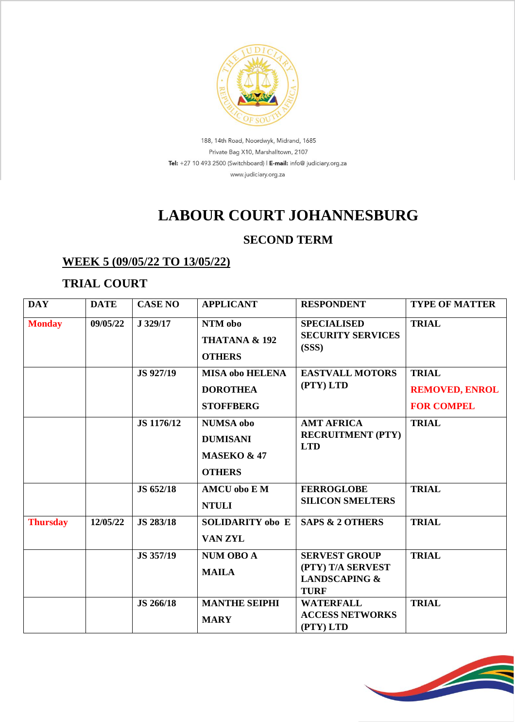

188, 14th Road, Noordwyk, Midrand, 1685 Private Bag X10, Marshalltown, 2107 Tel: +27 10 493 2500 (Switchboard) | E-mail: info@ judiciary.org.za www.judiciary.org.za

## **LABOUR COURT JOHANNESBURG**

### **SECOND TERM**

#### **WEEK 5 (09/05/22 TO 13/05/22)**

#### **TRIAL COURT**

| <b>DAY</b>      | <b>DATE</b> | <b>CASE NO</b>   | <b>APPLICANT</b>                                                               | <b>RESPONDENT</b>                                                                    | <b>TYPE OF MATTER</b>                                      |
|-----------------|-------------|------------------|--------------------------------------------------------------------------------|--------------------------------------------------------------------------------------|------------------------------------------------------------|
| <b>Monday</b>   | 09/05/22    | J 329/17         | NTM obo<br><b>THATANA &amp; 192</b><br><b>OTHERS</b>                           | <b>SPECIALISED</b><br><b>SECURITY SERVICES</b><br>(SSS)                              | <b>TRIAL</b>                                               |
|                 |             | JS 927/19        | <b>MISA obo HELENA</b><br><b>DOROTHEA</b><br><b>STOFFBERG</b>                  | <b>EASTVALL MOTORS</b><br>(PTY) LTD                                                  | <b>TRIAL</b><br><b>REMOVED, ENROL</b><br><b>FOR COMPEL</b> |
|                 |             | JS 1176/12       | <b>NUMSA</b> obo<br><b>DUMISANI</b><br><b>MASEKO &amp; 47</b><br><b>OTHERS</b> | <b>AMT AFRICA</b><br><b>RECRUITMENT (PTY)</b><br><b>LTD</b>                          | <b>TRIAL</b>                                               |
|                 |             | JS 652/18        | <b>AMCU</b> obo E M<br><b>NTULI</b>                                            | <b>FERROGLOBE</b><br><b>SILICON SMELTERS</b>                                         | <b>TRIAL</b>                                               |
| <b>Thursday</b> | 12/05/22    | JS 283/18        | <b>SOLIDARITY obo E</b><br><b>VAN ZYL</b>                                      | <b>SAPS &amp; 2 OTHERS</b>                                                           | <b>TRIAL</b>                                               |
|                 |             | JS 357/19        | <b>NUM OBO A</b><br><b>MAILA</b>                                               | <b>SERVEST GROUP</b><br>(PTY) T/A SERVEST<br><b>LANDSCAPING &amp;</b><br><b>TURF</b> | <b>TRIAL</b>                                               |
|                 |             | <b>JS 266/18</b> | <b>MANTHE SEIPHI</b><br><b>MARY</b>                                            | <b>WATERFALL</b><br><b>ACCESS NETWORKS</b><br>(PTY) LTD                              | <b>TRIAL</b>                                               |